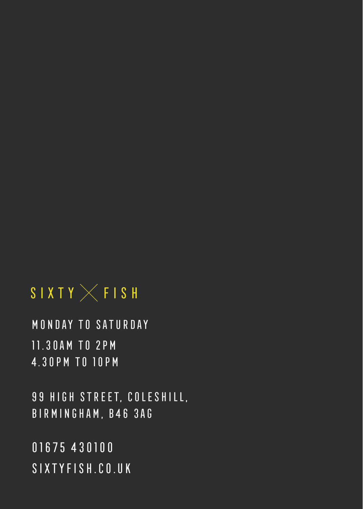# SIXTY  $\times$  FISH

MONDAY TO SATURDAY 11.30AM TO 2PM 4.30PM TO 10PM

99 HIGH STREET, COLESHILL, BIRMINGHAM, B46 3AG

SIXTYFISH.CO.UK 01675 430100